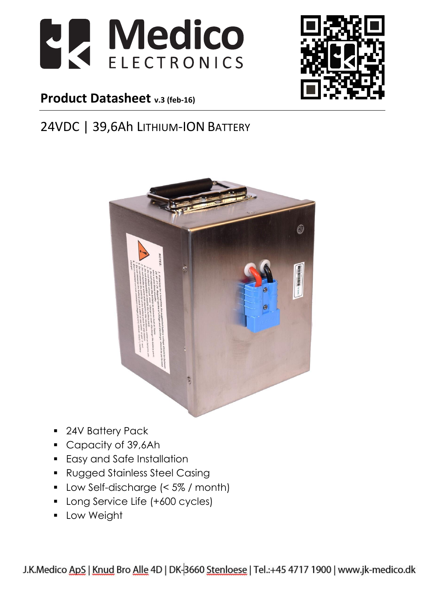



#### **Product Datasheet v.3 (feb-16)**

#### 24VDC | 39,6Ah LITHIUM-ION BATTERY



- 24V Battery Pack
- Capacity of 39,6Ah
- **Easy and Safe Installation**
- Rugged Stainless Steel Casing
- Low Self-discharge (< 5% / month)
- **-** Long Service Life (+600 cycles)
- Low Weight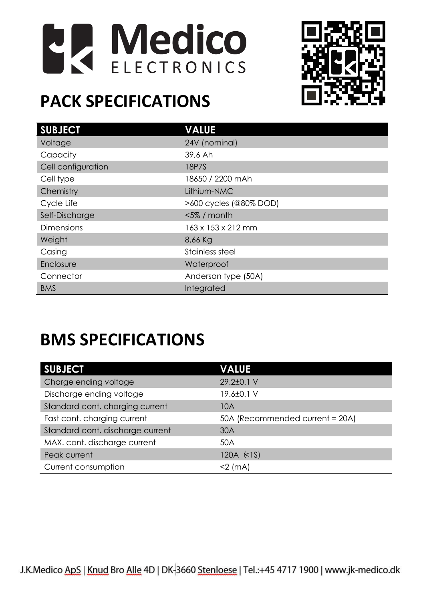



# **PACK SPECIFICATIONS**

| <b>SUBJECT</b>     | <b>VALUE</b>           |
|--------------------|------------------------|
| Voltage            | 24V (nominal)          |
| Capacity           | 39,6 Ah                |
| Cell configuration | 18P7S                  |
| Cell type          | 18650 / 2200 mAh       |
| Chemistry          | Lithium-NMC            |
| Cycle Life         | >600 cycles (@80% DOD) |
| Self-Discharge     | $<$ 5% / month         |
| <b>Dimensions</b>  | 163 x 153 x 212 mm     |
| Weight             | 8,66 Kg                |
| Casing             | Stainless steel        |
| Enclosure          | Waterproof             |
| Connector          | Anderson type (50A)    |
| <b>BMS</b>         | Integrated             |

# **BMS SPECIFICATIONS**

| <b>SUBJECT</b>                   | <b>VALUE</b>                    |
|----------------------------------|---------------------------------|
| Charge ending voltage            | 29.2±0.1 V                      |
| Discharge ending voltage         | 19.6±0.1 V                      |
| Standard cont. charging current  | 10A                             |
| Fast cont. charging current      | 50A (Recommended current = 20A) |
| Standard cont. discharge current | 30A                             |
| MAX. cont. discharge current     | 50A                             |
| Peak current                     | 120A (<1S)                      |
| Current consumption              | $<$ 2 (mA)                      |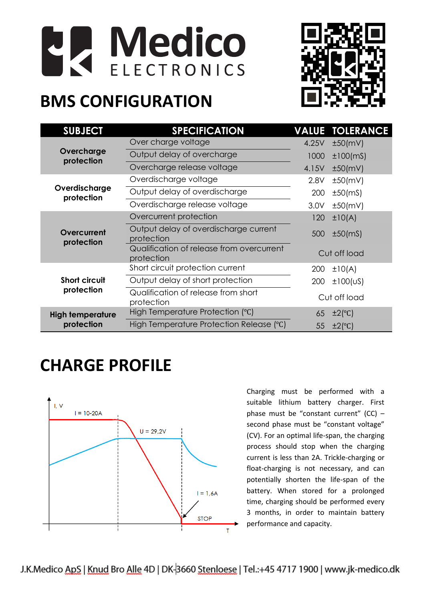



## **BMS CONFIGURATION**

| <b>SUBJECT</b>                        | <b>SPECIFICATION</b>                                    |       | <b>VALUE TOLERANCE</b> |
|---------------------------------------|---------------------------------------------------------|-------|------------------------|
| Overcharge<br>protection              | Over charge voltage                                     | 4.25V | ±50(mV)                |
|                                       | Output delay of overcharge                              | 1000  | $±100$ (mS)            |
|                                       | Overcharge release voltage                              | 4.15V | ±50(mV)                |
| Overdischarge<br>protection           | Overdischarge voltage                                   | 2.8V  | ±50(mV)                |
|                                       | Output delay of overdischarge                           | 200   | $±50$ (mS)             |
|                                       | Overdischarge release voltage                           | 3.0V  | ±50(mV)                |
| Overcurrent<br>protection             | Overcurrent protection                                  | 120   | ±10(A)                 |
|                                       | Output delay of overdischarge current<br>protection     | 500   | $±50$ (mS)             |
|                                       | Qualification of release from overcurrent<br>protection |       | Cut off load           |
| <b>Short circuit</b><br>protection    | Short circuit protection current                        | 200   | ±10(A)                 |
|                                       | Output delay of short protection                        | 200   | $\pm 100$ (US)         |
|                                       | Qualification of release from short<br>protection       |       | Cut off load           |
| <b>High temperature</b><br>protection | High Temperature Protection (°C)                        | 65    | $\pm 2$ (°C)           |
|                                       | High Temperature Protection Release (°C)                | 55    | $\pm 2$ (°C)           |

### **CHARGE PROFILE**



Charging must be performed with a suitable lithium battery charger. First phase must be "constant current"  $(CC)$  – second phase must be "constant voltage" (CV). For an optimal life-span, the charging process should stop when the charging current is less than 2A. Trickle-charging or float-charging is not necessary, and can potentially shorten the life-span of the battery. When stored for a prolonged time, charging should be performed every 3 months, in order to maintain battery performance and capacity.